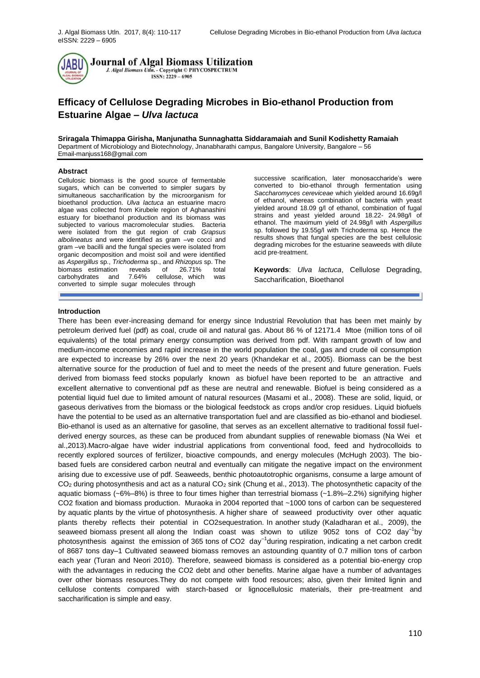

# **Efficacy of Cellulose Degrading Microbes in Bio-ethanol Production from Estuarine Algae** *– Ulva lactuca*

**Sriragala Thimappa Girisha, Manjunatha Sunnaghatta Siddaramaiah and Sunil Kodishetty Ramaiah**  Department of Microbiology and Biotechnology, Jnanabharathi campus, Bangalore University, Bangalore – 56 [Email-manjuss168@gmail.com](mailto:Email-manjuss168@gmail.com)

## **Abstract**

Cellulosic biomass is the good source of fermentable sugars, which can be converted to simpler sugars by simultaneous saccharification by the microorganism for bioethanol production. *Ulva lactuca* an estuarine macro algae was collected from Kirubele region of Aghanashini estuary for bioethanol production and its biomass was subjected to various macromolecular studies. Bacteria were isolated from the gut region of crab *Grapsus albolineatus* and were identified as gram –ve cocci and gram –ve bacilli and the fungal species were isolated from organic decomposition and moist soil and were identified as *Aspergillus* sp., *Trichoderma* sp., and *Rhizopus* sp. The biomass estimation reveals of 26.71% total<br>carbohydrates and 7.64% cellulose which was and 7.64% cellulose, which was converted to simple sugar molecules through

successive scarification, later monosaccharide's were converted to bio-ethanol through fermentation using *Saccharomyces cereviceae* which yielded around 16.69g/l of ethanol, whereas combination of bacteria with yeast yielded around 18.09 g/l of ethanol, combination of fugal strains and yeast yielded around 18.22- 24.98g/l of ethanol. The maximum yield of 24.98g/l with *Aspergillus*  sp. followed by 19.55g/l with Trichoderma sp. Hence the results shows that fungal species are the best cellulosic degrading microbes for the estuarine seaweeds with dilute acid pre-treatment.

**Keywords**: *Ulva lactuca*, Cellulose Degrading, Saccharification, Bioethanol

# **Introduction**

There has been ever-increasing demand for energy since Industrial Revolution that has been met mainly by petroleum derived fuel (pdf) as coal, crude oil and natural gas. About 86 % of 12171.4 Mtoe (million tons of oil equivalents) of the total primary energy consumption was derived from pdf. With rampant growth of low and medium-income economies and rapid increase in the world population the coal, gas and crude oil consumption are expected to increase by 26% over the next 20 years (Khandekar et al., 2005). Biomass can be the best alternative source for the production of fuel and to meet the needs of the present and future generation. Fuels derived from biomass feed stocks popularly known as biofuel have been reported to be an attractive and excellent alternative to conventional pdf as these are neutral and renewable. Biofuel is being considered as a potential liquid fuel due to limited amount of natural resources (Masami et al., 2008). These are solid, liquid, or gaseous derivatives from the biomass or the biological feedstock as crops and/or crop residues. Liquid biofuels have the potential to be used as an alternative transportation fuel and are classified as bio-ethanol and biodiesel. Bio-ethanol is used as an alternative for gasoline, that serves as an excellent alternative to traditional fossil fuelderived energy sources, as these can be produced from abundant supplies of renewable biomass (Na Wei et al.,2013).Macro-algae have wider industrial applications from conventional food, feed and hydrocolloids to recently explored sources of fertilizer, bioactive compounds, and energy molecules (McHugh 2003). The biobased fuels are considered carbon neutral and eventually can mitigate the negative impact on the environment arising due to excessive use of pdf. Seaweeds, benthic photoautotrophic organisms, consume a large amount of  $CO<sub>2</sub>$  during photosynthesis and act as a natural  $CO<sub>2</sub>$  sink (Chung et al., 2013). The photosynthetic capacity of the aquatic biomass (~6%–8%) is three to four times higher than terrestrial biomass (~1.8%–2.2%) signifying higher CO2 fixation and biomass production. Muraoka in 2004 reported that ~1000 tons of carbon can be sequestered by aquatic plants by the virtue of photosynthesis. A higher share of seaweed productivity over other aquatic plants thereby reflects their potential in CO2sequestration. In another study (Kaladharan et al., 2009), the seaweed biomass present all along the Indian coast was shown to utilize  $9052$  tons of CO2 day<sup>-1</sup>by photosynthesis against the emission of 365 tons of CO2 day<sup>-1</sup>during respiration, indicating a net carbon credit of 8687 tons day–1 Cultivated seaweed biomass removes an astounding quantity of 0.7 million tons of carbon each year (Turan and Neori 2010). Therefore, seaweed biomass is considered as a potential bio-energy crop with the advantages in reducing the CO2 debt and other benefits. Marine algae have a number of advantages over other biomass resources.They do not compete with food resources; also, given their limited lignin and cellulose contents compared with starch-based or lignocellulosic materials, their pre-treatment and saccharification is simple and easy.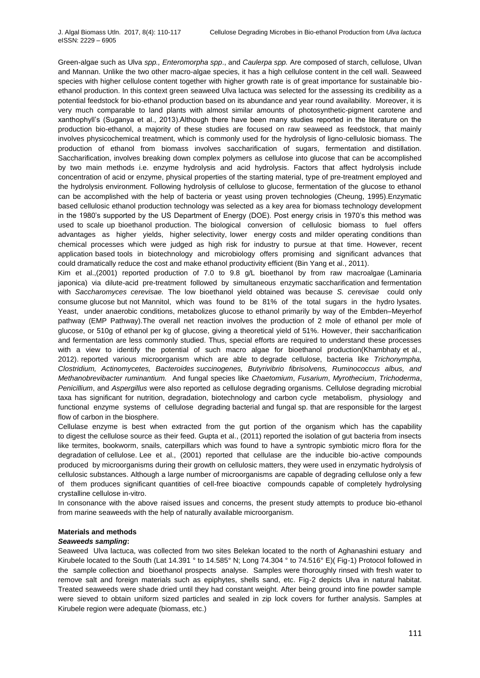Green-algae such as Ulva *spp., Enteromorpha spp*., and *Caulerpa spp.* Are composed of starch, cellulose, Ulvan and Mannan. Unlike the two other macro-algae species, it has a high cellulose content in the cell wall. Seaweed species with higher cellulose content together with higher growth rate is of great importance for sustainable bioethanol production. In this context green seaweed Ulva lactuca was selected for the assessing its credibility as a potential feedstock for bio-ethanol production based on its abundance and year round availability. Moreover, it is very much comparable to land plants with almost similar amounts of photosynthetic-pigment carotene and xanthophyll's (Suganya et al., 2013).Although there have been many studies reported in the literature on the production bio-ethanol, a majority of these studies are focused on raw seaweed as feedstock, that mainly involves physicochemical treatment, which is commonly used for the hydrolysis of ligno-cellulosic biomass. The production of ethanol from biomass involves saccharification of sugars, fermentation and distillation. Saccharification, involves breaking down complex polymers as cellulose into glucose that can be accomplished by two main methods i.e. enzyme hydrolysis and acid hydrolysis. Factors that affect hydrolysis include concentration of acid or enzyme, physical properties of the starting material, type of pre-treatment employed and the hydrolysis environment. Following hydrolysis of cellulose to glucose, fermentation of the glucose to ethanol can be accomplished with the help of bacteria or yeast using proven technologies (Cheung, 1995).Enzymatic based cellulosic ethanol production technology was selected as a key area for biomass technology development in the 1980's supported by the US Department of Energy (DOE). Post energy crisis in 1970's this method was used to scale up bioethanol production. The biological conversion of cellulosic biomass to fuel offers advantages as higher yields, higher selectivity, lower energy costs and milder operating conditions than chemical processes which were judged as high risk for industry to pursue at that time. However, recent application based tools in biotechnology and microbiology offers promising and significant advances that could dramatically reduce the cost and make ethanol productivity efficient (Bin Yang et al., 2011).

Kim et al.,(2001) reported production of 7.0 to 9.8 g/L bioethanol by from raw macroalgae (Laminaria japonica) via dilute-acid pre-treatment followed by simultaneous enzymatic saccharification and fermentation with *Saccharomyces cerevisae.* The low bioethanol yield obtained was because *S. cerevisae* could only consume glucose but not Mannitol, which was found to be 81% of the total sugars in the hydro lysates. Yeast, under anaerobic conditions, metabolizes glucose to ethanol primarily by way of the Embden–Meyerhof pathway (EMP Pathway).The overall net reaction involves the production of 2 mole of ethanol per mole of glucose, or 510g of ethanol per kg of glucose, giving a theoretical yield of 51%. However, their saccharification and fermentation are less commonly studied. Thus, special efforts are required to understand these processes with a view to identify the potential of such macro algae for bioethanol production(Khambhaty et al., 2012). reported various microorganism which are able to degrade cellulose, bacteria like *Trichonympha, Clostridium, Actinomycetes, Bacteroides succinogenes, Butyrivibrio fibrisolvens, Ruminococcus albus, and Methanobrevibacter ruminantium.* And fungal species like *Chaetomium*, *Fusarium*, *Myrothecium*, *Trichoderma*, *Penicillium*, and *Aspergillus* were also reported as cellulose degrading organisms. Cellulose degrading microbial taxa has significant for nutrition, degradation, biotechnology and carbon cycle metabolism, physiology and functional enzyme systems of cellulose degrading bacterial and fungal sp. that are responsible for the largest flow of carbon in the biosphere.

Cellulase enzyme is best when extracted from the gut portion of the organism which has the capability to digest the cellulose source as their feed. Gupta et al., (2011) reported the isolation of gut bacteria from insects like termites, bookworm, snails, caterpillars which was found to have a syntropic symbiotic micro flora for the degradation of cellulose. Lee et al., (2001) reported that cellulase are the inducible bio-active compounds produced by microorganisms during their growth on cellulosic matters, they were used in enzymatic hydrolysis of cellulosic substances. Although a large number of microorganisms are capable of degrading cellulose only a few of them produces significant quantities of cell-free bioactive compounds capable of completely hydrolysing crystalline cellulose in-vitro.

In consonance with the above raised issues and concerns, the present study attempts to produce bio-ethanol from marine seaweeds with the help of naturally available microorganism.

## **Materials and methods**

## *Seaweeds sampling***:**

Seaweed Ulva lactuca, was collected from two sites Belekan located to the north of Aghanashini estuary and Kirubele located to the South (Lat 14.391 ° to 14.585° N; Long 74.304 ° to 74.516° E)( Fig-1) Protocol followed in the sample collection and bioethanol prospects analyse. Samples were thoroughly rinsed with fresh water to remove salt and foreign materials such as epiphytes, shells sand, etc. Fig-2 depicts Ulva in natural habitat. Treated seaweeds were shade dried until they had constant weight. After being ground into fine powder sample were sieved to obtain uniform sized particles and sealed in zip lock covers for further analysis. Samples at Kirubele region were adequate (biomass, etc.)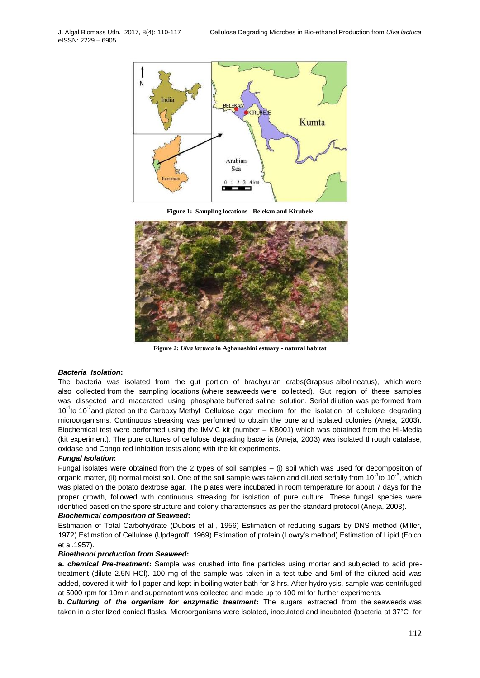

**Figure 1: Sampling locations - Belekan and Kirubele**



**Figure 2:** *Ulva lactuca* **in Aghanashini estuary - natural habitat**

#### *Bacteria Isolation***:**

The bacteria was isolated from the gut portion of brachyuran crabs(Grapsus albolineatus), which were also collected from the sampling locations (where seaweeds were collected). Gut region of these samples was dissected and macerated using phosphate buffered saline solution. Serial dilution was performed from 10<sup>-1</sup> to 10<sup>-7</sup> and plated on the Carboxy Methyl Cellulose agar medium for the isolation of cellulose degrading microorganisms. Continuous streaking was performed to obtain the pure and isolated colonies (Aneja, 2003). Biochemical test were performed using the IMViC kit (number – KB001) which was obtained from the Hi-Media (kit experiment). The pure cultures of cellulose degrading bacteria (Aneja, 2003) was isolated through catalase, oxidase and Congo red inhibition tests along with the kit experiments.

#### *Fungal Isolation***:**

Fungal isolates were obtained from the 2 types of soil samples – (i) soil which was used for decomposition of organic matter, (ii) normal moist soil. One of the soil sample was taken and diluted serially from 10<sup>-1</sup>to 10<sup>-6</sup>, which was plated on the potato dextrose agar. The plates were incubated in room temperature for about 7 days for the proper growth, followed with continuous streaking for isolation of pure culture. These fungal species were identified based on the spore structure and colony characteristics as per the standard protocol (Aneja, 2003).

# *Biochemical composition of Seaweed***:**

Estimation of Total Carbohydrate (Dubois et al., 1956) Estimation of reducing sugars by DNS method (Miller, 1972) Estimation of Cellulose (Updegroff, 1969) Estimation of protein (Lowry's method) Estimation of Lipid (Folch et al.1957).

# *Bioethanol production from Seaweed***:**

**a.** *chemical Pre-treatment***:** Sample was crushed into fine particles using mortar and subjected to acid pretreatment (dilute 2.5N HCl). 100 mg of the sample was taken in a test tube and 5ml of the diluted acid was added, covered it with foil paper and kept in boiling water bath for 3 hrs. After hydrolysis, sample was centrifuged at 5000 rpm for 10min and supernatant was collected and made up to 100 ml for further experiments.

**b.** *Culturing of the organism for enzymatic treatment***:** The sugars extracted from the seaweeds was taken in a sterilized conical flasks. Microorganisms were isolated, inoculated and incubated (bacteria at 37°C for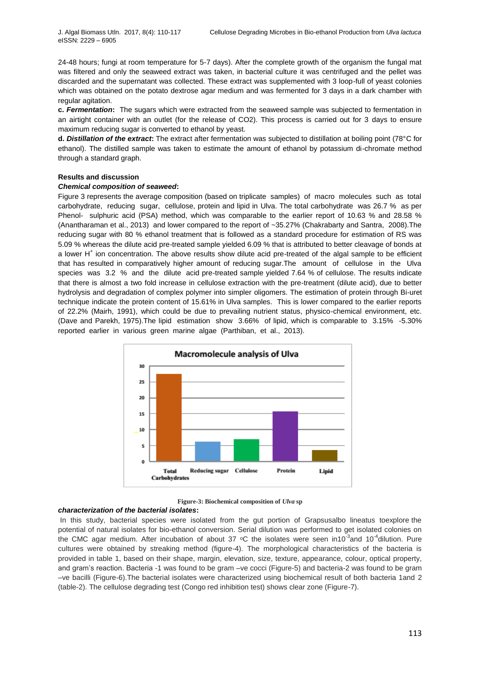24-48 hours; fungi at room temperature for 5-7 days). After the complete growth of the organism the fungal mat was filtered and only the seaweed extract was taken, in bacterial culture it was centrifuged and the pellet was discarded and the supernatant was collected. These extract was supplemented with 3 loop-full of yeast colonies which was obtained on the potato dextrose agar medium and was fermented for 3 days in a dark chamber with regular agitation.

**c.** *Fermentation***:** The sugars which were extracted from the seaweed sample was subjected to fermentation in an airtight container with an outlet (for the release of CO2). This process is carried out for 3 days to ensure maximum reducing sugar is converted to ethanol by yeast.

**d.** *Distillation of the extract***:** The extract after fermentation was subjected to distillation at boiling point (78°C for ethanol). The distilled sample was taken to estimate the amount of ethanol by potassium di-chromate method through a standard graph.

## **Results and discussion**

# *Chemical composition of seaweed***:**

Figure 3 represents the average composition (based on triplicate samples) of macro molecules such as total carbohydrate, reducing sugar, cellulose, protein and lipid in Ulva. The total carbohydrate was 26.7 % as per Phenol- sulphuric acid (PSA) method, which was comparable to the earlier report of 10.63 % and 28.58 % (Anantharaman et al., 2013) and lower compared to the report of ~35.27% (Chakrabarty and Santra, 2008).The reducing sugar with 80 % ethanol treatment that is followed as a standard procedure for estimation of RS was 5.09 % whereas the dilute acid pre-treated sample yielded 6.09 % that is attributed to better cleavage of bonds at a lower H<sup>+</sup> ion concentration. The above results show dilute acid pre-treated of the algal sample to be efficient that has resulted in comparatively higher amount of reducing sugar.The amount of cellulose in the Ulva species was 3.2 % and the dilute acid pre-treated sample yielded 7.64 % of cellulose. The results indicate that there is almost a two fold increase in cellulose extraction with the pre-treatment (dilute acid), due to better hydrolysis and degradation of complex polymer into simpler oligomers. The estimation of protein through Bi-uret technique indicate the protein content of 15.61% in Ulva samples. This is lower compared to the earlier reports of 22.2% (Mairh, 1991), which could be due to prevailing nutrient status, physico-chemical environment, etc. (Dave and Parekh, 1975).The lipid estimation show 3.66% of lipid, which is comparable to 3.15% -5.30% reported earlier in various green marine algae (Parthiban, et al., 2013).





#### *characterization of the bacterial isolates***:**

In this study, bacterial species were isolated from the gut portion of Grapsusalbo lineatus toexplore the potential of natural isolates for bio-ethanol conversion. Serial dilution was performed to get isolated colonies on the CMC agar medium. After incubation of about 37 °C the isolates were seen in10<sup>-3</sup>and 10<sup>-4</sup>dilution. Pure cultures were obtained by streaking method (figure-4). The morphological characteristics of the bacteria is provided in table 1, based on their shape, margin, elevation, size, texture, appearance, colour, optical property, and gram's reaction. Bacteria -1 was found to be gram –ve cocci (Figure-5) and bacteria-2 was found to be gram –ve bacilli (Figure-6).The bacterial isolates were characterized using biochemical result of both bacteria 1and 2 (table-2). The cellulose degrading test (Congo red inhibition test) shows clear zone (Figure-7).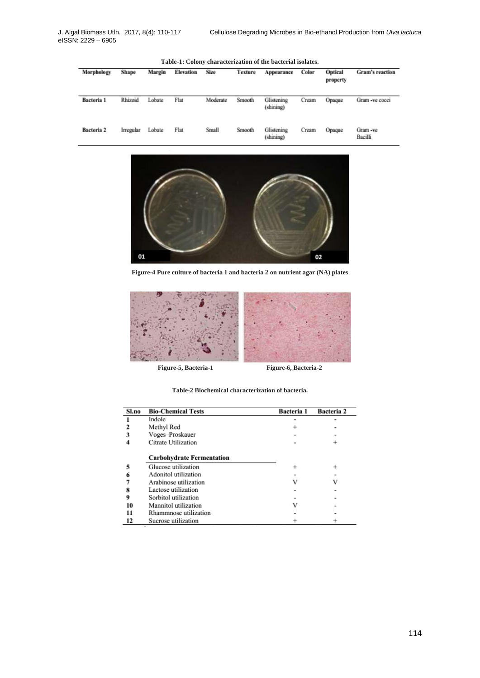| Table-1: Colony characterization of the bacterial isolates. |           |        |           |             |         |                         |       |                     |                    |
|-------------------------------------------------------------|-----------|--------|-----------|-------------|---------|-------------------------|-------|---------------------|--------------------|
| Morphology                                                  | Shape     | Margin | Elevation | <b>Size</b> | Texture | Appearance              | Color | Optical<br>property | Gram's reaction    |
| Bacteria 1                                                  | Rhizoid   | Lobate | Flat      | Moderate    | Smooth  | Glistening<br>(shining) | Cream | Opaque              | Gram -ve cocci     |
| Bacteria 2                                                  | Irregular | Lobate | Flat      | Small       | Smooth  | Glistening<br>(shining) | Cream | Opaque              | Gram-ve<br>Bacilli |



**Figure-4 Pure culture of bacteria 1 and bacteria 2 on nutrient agar (NA) plates**



**Figure-5, Bacteria-1 Figure-6, Bacteria-2**

**Table-2 Biochemical characterization of bacteria.**

| Sl.no | <b>Bio-Chemical Tests</b>        | Bacteria 1 | Bacteria 2 |
|-------|----------------------------------|------------|------------|
|       | Indole                           |            |            |
|       | Methyl Red                       |            |            |
|       | Voges-Proskauer                  |            |            |
|       | Citrate Utilization              |            |            |
|       | <b>Carbohydrate Fermentation</b> |            |            |
| 5     | Glucose utilization              | $\ddot{}$  | $^{+}$     |
|       | Adonitol utilization             |            |            |
|       | Arabinose utilization            | v          | v          |
|       | Lactose utilization              |            |            |
| 9     | Sorbitol utilization             |            |            |
| 10    | Mannitol utilization             |            |            |
| 11    | Rhammnose utilization            |            |            |
| 12    | Sucrose utilization              |            |            |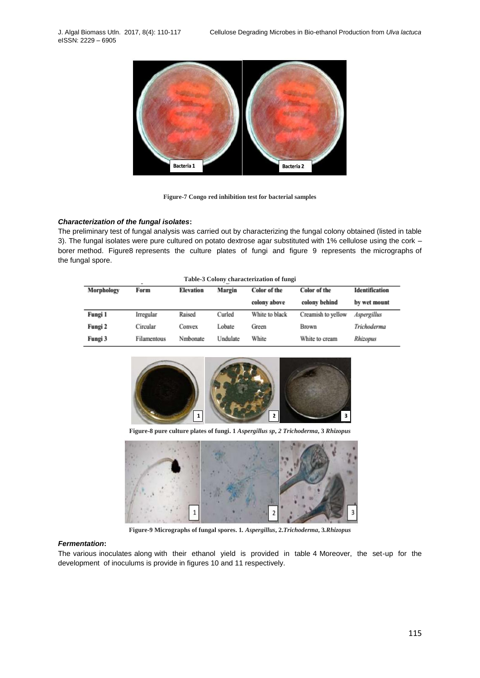eISSN: 2229 – 6905



**Figure-7 Congo red inhibition test for bacterial samples**

## *Characterization of the fungal isolates***:**

The preliminary test of fungal analysis was carried out by characterizing the fungal colony obtained (listed in table 3). The fungal isolates were pure cultured on potato dextrose agar substituted with 1% cellulose using the cork – borer method. Figure8 represents the culture plates of fungi and figure 9 represents the micrographs of the fungal spore.

|            | Table-3 Colony characterization of fungi |           |          |                     |                    |                |
|------------|------------------------------------------|-----------|----------|---------------------|--------------------|----------------|
| Morphology | Form                                     | Elevation | Margin   | <b>Color</b> of the | Color of the       | Identification |
|            |                                          |           |          | colony above        | colony behind      | by wet mount   |
| Fungi 1    | Irregular                                | Raised    | Curled   | White to black      | Creamish to yellow | Aspergillus    |
| Fungi 2    | Circular                                 | Convex    | Lobate   | Green               | Brown              | Trichoderma    |
| Fungi 3    | Filamentous                              | Nmbonate  | Undulate | White               | White to cream     | Rhizopus       |



**Figure-8 pure culture plates of fungi. 1** *Aspergillus sp***,** *2 Trichoderma***, 3** *Rhizopus*



**Figure-9 Micrographs of fungal spores. 1***. Aspergillus***, 2.***Trichoderma***, 3***.Rhizopus*

# *Fermentation***:**

The various inoculates along with their ethanol yield is provided in table 4 Moreover, the set-up for the development of inoculums is provide in figures 10 and 11 respectively.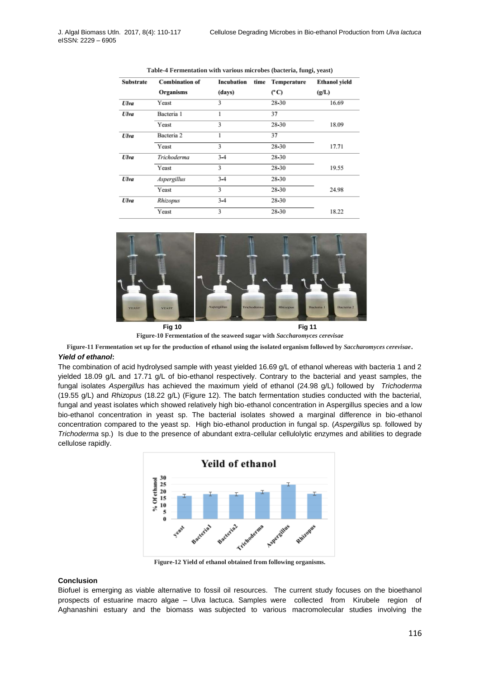| <b>Substrate</b> | <b>Combination of</b> | Incubation | time | Temperature   | <b>Ethanol</b> yield |
|------------------|-----------------------|------------|------|---------------|----------------------|
|                  | Organisms             | (days)     |      | $(^{\circ}C)$ | (g/L)                |
| Ulva             | Yeast                 | 3          |      | 28-30         | 16.69                |
| <b>Ulva</b>      | Bacteria 1            |            |      | 37            |                      |
|                  | Yeast                 | 3          |      | 28-30         | 18.09                |
| Ulva             | Bacteria <sub>2</sub> | 1          |      | 37            |                      |
|                  | Yeast                 | 3          |      | 28-30         | 17.71                |
| <b>Ulva</b>      | Trichoderma           | $3 - 4$    |      | 28-30         |                      |
|                  | Yeast                 | 3          |      | 28-30         | 19.55                |
| <b>Ulva</b>      | <b>Aspergillus</b>    | $3 - 4$    |      | 28-30         |                      |
|                  | Yeast                 | 3          |      | 28-30         | 24.98                |
| Ulva             | Rhizopus              | $3 - 4$    |      | 28-30         |                      |
|                  | Yeast                 | 3          |      | 28-30         | 18.22                |

**Table-4 Fermentation with various microbes (bacteria, fungi, yeast)**



**Figure-10 Fermentation of the seaweed sugar with** *Saccharomyces cerevisae*

**Figure-11 Fermentation set up for the production of ethanol using the isolated organism followed by** *Saccharomyces cerevisae*.

# *Yield of ethanol***:**

The combination of acid hydrolysed sample with yeast yielded 16.69 g/L of ethanol whereas with bacteria 1 and 2 yielded 18.09 g/L and 17.71 g/L of bio-ethanol respectively. Contrary to the bacterial and yeast samples, the fungal isolates *Aspergillus* has achieved the maximum yield of ethanol (24.98 g/L) followed by *Trichoderma*  (19.55 g/L) and *Rhizopus* (18.22 g/L) (Figure 12). The batch fermentation studies conducted with the bacterial, fungal and yeast isolates which showed relatively high bio-ethanol concentration in Aspergillus species and a low bio-ethanol concentration in yeast sp. The bacterial isolates showed a marginal difference in bio-ethanol concentration compared to the yeast sp. High bio-ethanol production in fungal sp. (*Aspergillu*s sp*.* followed by *Trichoderma* sp.) Is due to the presence of abundant extra-cellular cellulolytic enzymes and abilities to degrade cellulose rapidly.



**Figure-12 Yield of ethanol obtained from following organisms.**

# **Conclusion**

Biofuel is emerging as viable alternative to fossil oil resources. The current study focuses on the bioethanol prospects of estuarine macro algae – Ulva lactuca. Samples were collected from Kirubele region of Aghanashini estuary and the biomass was subjected to various macromolecular studies involving the